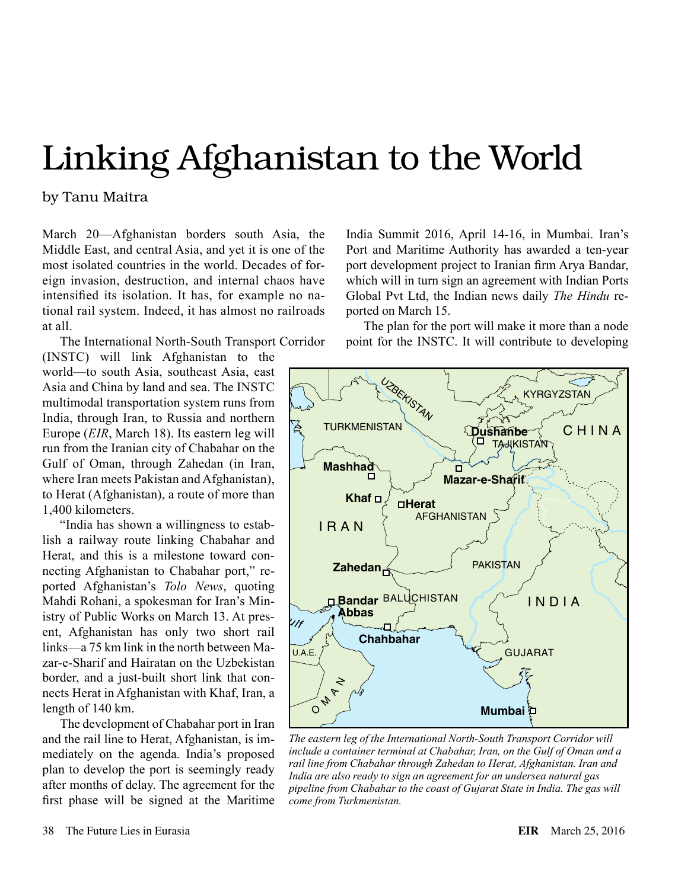## Linking Afghanistan to the World

by Tanu Maitra

March 20—Afghanistan borders south Asia, the India Su Middle East, and central Asia, and yet it is one of the most isolated countries in the world. Decades of foreign invasion, destruction, and internal chaos have intensified its isolation. It has, for example no national rail system. Indeed, it has almost no railroads at all.

The International North-South Transport Corridor *C*

(INSTC) will link Afghanistan to the *l* **a**  $\overline{AB}$  *l**i**i**lik**l**x* **<b>***i***<sub>s</sub>** *k i d i d and china by land and sea. The INSTC* Asia and China by land and sea. The INSTC multimodal transportation system runs from India, through Iran, to Russia and northern Europe (*EIR*, March 18). Its eastern leg will run from the Iranian city of Chabahar on the Gulf of Oman, through Zahedan (in Iran, where Iran meets Pakistan and Afghanistan), to Herat (Afghanistan), a route of more than 1,400 kilometers.  $\mathbf{p}$ 

> "India has shown a willingness to establish a railway route linking Chabahar and Herat, and this is a milestone toward connecting Afghanistan to Chabahar port," reported Afghanistan's *Tolo News*, quoting Mahdi Rohani, a spokesman for Iran's Ministry of Public Works on March 13. At pres-Mahdi Rohani, a spokesman for Iran's Ministry of Public Works on March 13. At present, Afghanistan has only two short rail links—a 75 km link in the north between Mazar-e-Sharif and Hairatan on the Uzbekistan border, and a just-built short link that connects Herat in Afghanistan with Khaf, Iran, a length of 140 km.

The development of Chabahar port in Iran and the rail line to Herat, Afghanistan, is immediately on the agenda. India's proposed<br>nlan to develop the port is seemingly ready plan to develop the port is seemingly ready after months of delay. The agreement for the first phase will be signed at the Maritime

India Summit 2016, April 14-16, in Mumbai. Iran's Port and Maritime Authority has awarded a ten-year port development project to Iranian firm Arya Bandar,  $\text{which will in turn sign an agreement with Indian Ports}$ Global Pvt Ltd, the Indian news daily *The Hindu* reported on March 15.

The plan for the port will make it more than a node point for the INSTC. It will contribute to developing *Sea*



India are also ready to sign an agreement for an undersea natural gas *The eastern leg of the International North-South Transport Corridor will include a container terminal at Chabahar, Iran, on the Gulf of Oman and a rail line from Chabahar through Zahedan to Herat, Afghanistan. Iran and pipeline from Chabahar to the coast of Gujarat State in India. The gas will come from Turkmenistan.*